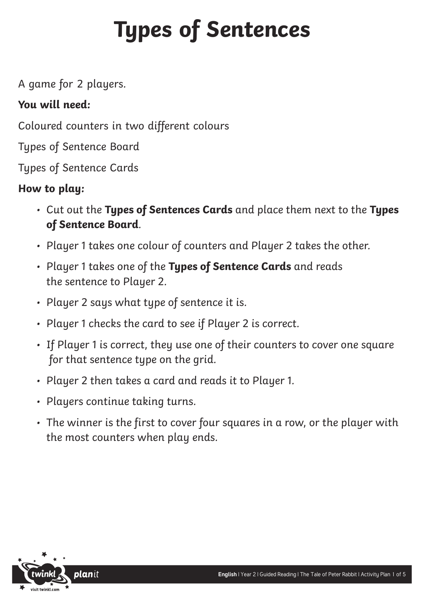## **Types of Sentences**

A game for 2 players.

## **You will need:**

Coloured counters in two different colours

Types of Sentence Board

Types of Sentence Cards

## **How to play:**

- Cut out the **Types of Sentences Cards** and place them next to the **Types of Sentence Board**.
- Player 1 takes one colour of counters and Player 2 takes the other.
- Player 1 takes one of the **Types of Sentence Cards** and reads the sentence to Player 2.
- Player 2 says what type of sentence it is.
- Player 1 checks the card to see if Player 2 is correct.
- If Player 1 is correct, they use one of their counters to cover one square for that sentence type on the grid.
- Player 2 then takes a card and reads it to Player 1.
- Players continue taking turns.
- The winner is the first to cover four squares in a row, or the player with the most counters when play ends.